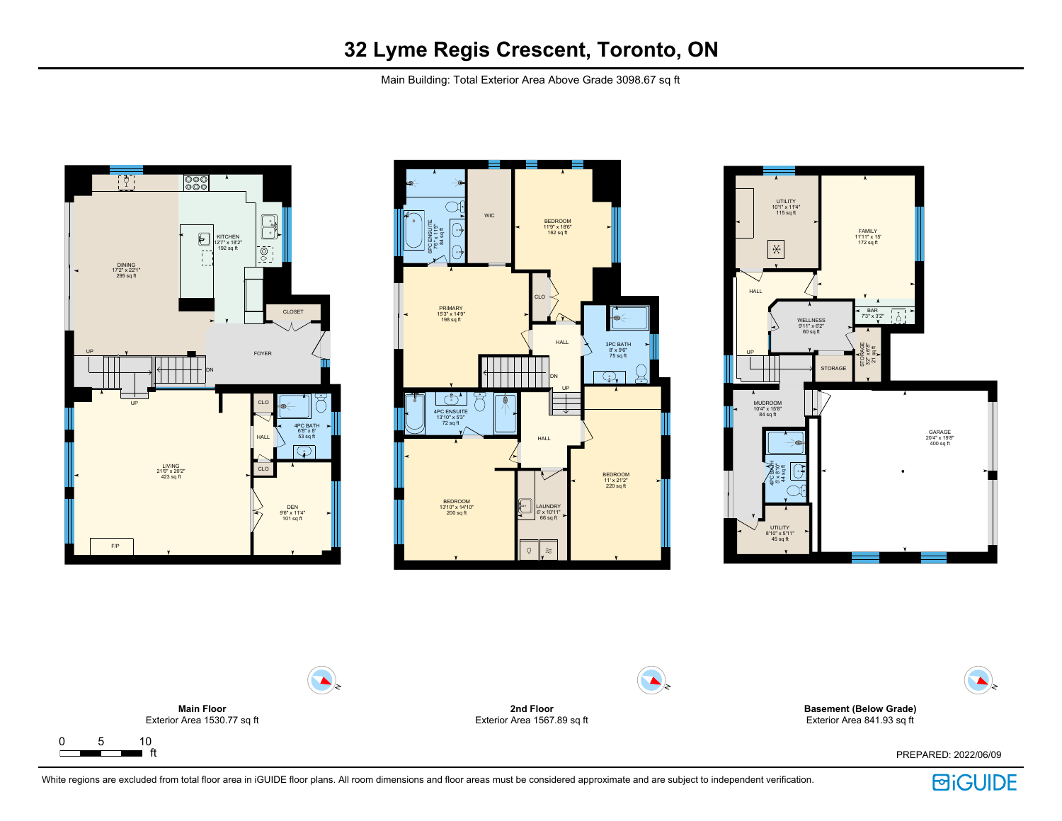

Main Building: Total Exterior Area Above Grade 3098.67 sq ft









White regions are excluded from total floor area in iGUIDE floor plans. All room dimensions and floor areas must be considered approximate and are subject to independent verification.

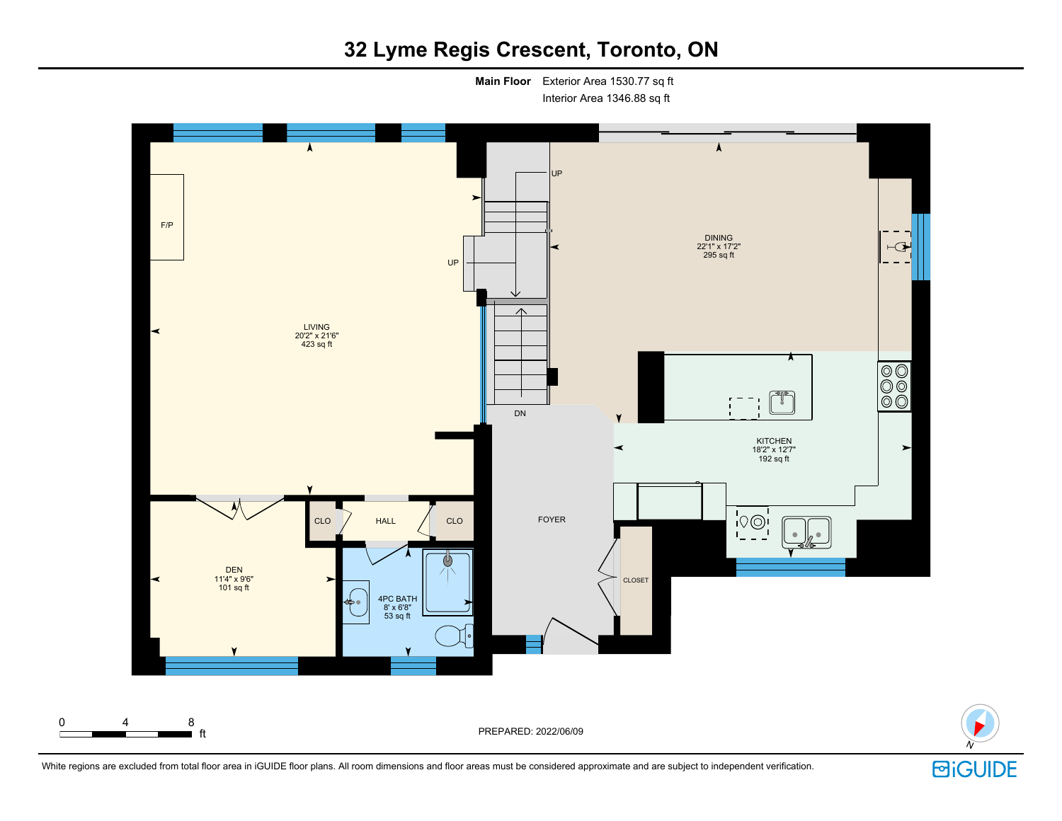# **32 Lyme Regis Crescent, Toronto, ON**

**Main Floor** Exterior Area 1530.77 sq ft Interior Area 1346.88 sq ft

UP F/P DINING 22'1" x 17'2"  $\vdash$  $295$  sq ft UP  $\Lambda$ LIVING 20'2" x 21'6" 423 sq ft  $\begin{array}{|c|} \hline \circ \circ \circ \\ \hline \circ \circ \circ \end{array}$ - 8 DN KITCHEN 18'2" x 12'7" 192 sq ft ≺  $\blacktriangleright$  $\sqrt{100}$ CLO HALL CLO FOYER DEN 11'4" x 9'6" 101 sq ft CLOSET 4PC BATH ه د 8' x 6'8"  $53$  sq ft 0 4 8 ft PREPARED: 2022/06/09

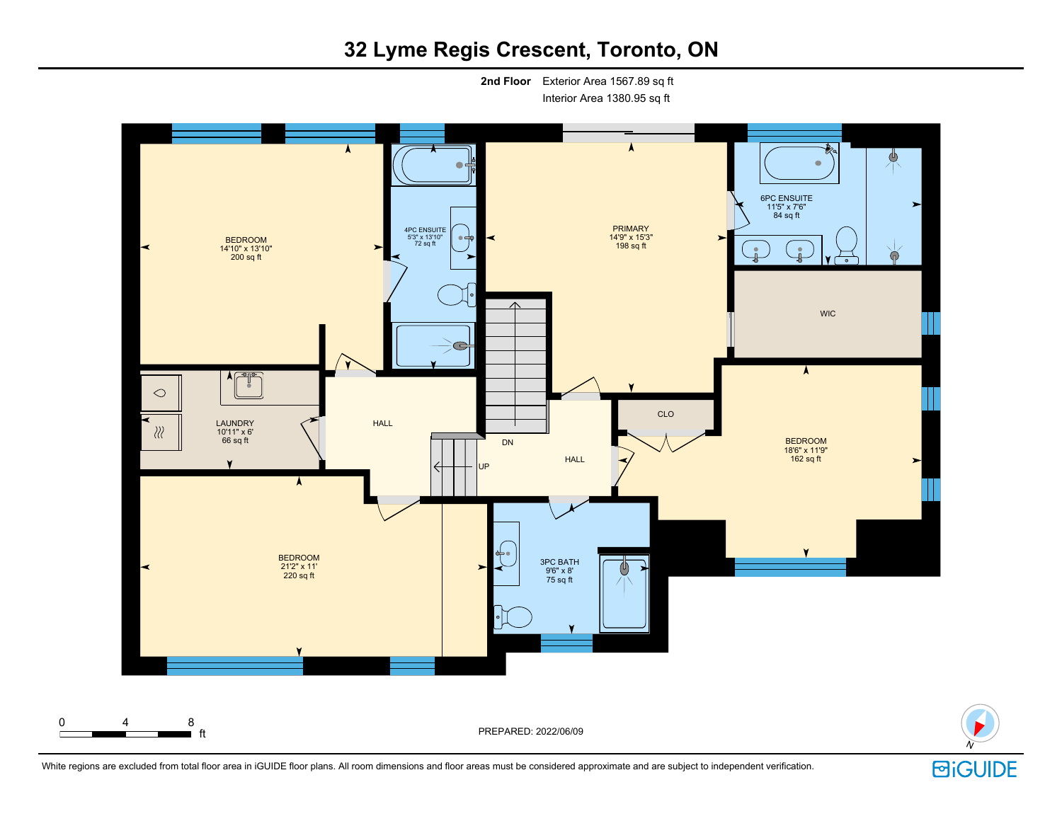# **32 Lyme Regis Crescent, Toronto, ON**

**2nd Floor** Exterior Area 1567.89 sq ft Interior Area 1380.95 sq ft

٨ ♨ 6PC ENSUITE 11'5" x 7'6" 84 sq ft × PRIMARY 14'9" x 15'3" 4PC ENSUITE 5'3" x 13'10" 72 sq ft BEDROOM 14'10" x 13'10" 198 sq ft  $\blacktriangleright$  $\bullet$ 200 sq ft  $\bullet$ **WIC**  $\subset$  $\mathbb{P}^1$  $\circ$ CLO HALL LAUNDRY  $\chi$ 10'11" x 6' BEDROOM<br>18'6" x 11'9" DN 66 sq ft  $\begin{array}{ccc} \sim & \wedge \end{array}$  BEDROOM **HALL** 162 sq ft  $\blacktriangleright$  $\lambda$ ┶ BEDROOM 3PC BATH 21'2" x 11' 220 sq ft 9'6" x 8'  $^\mathrm{\tiny{(U)}}$  $75$  sq ft 0 4 8 ft PREPARED: 2022/06/09



White regions are excluded from total floor area in iGUIDE floor plans. All room dimensions and floor areas must be considered approximate and are subject to independent verification.

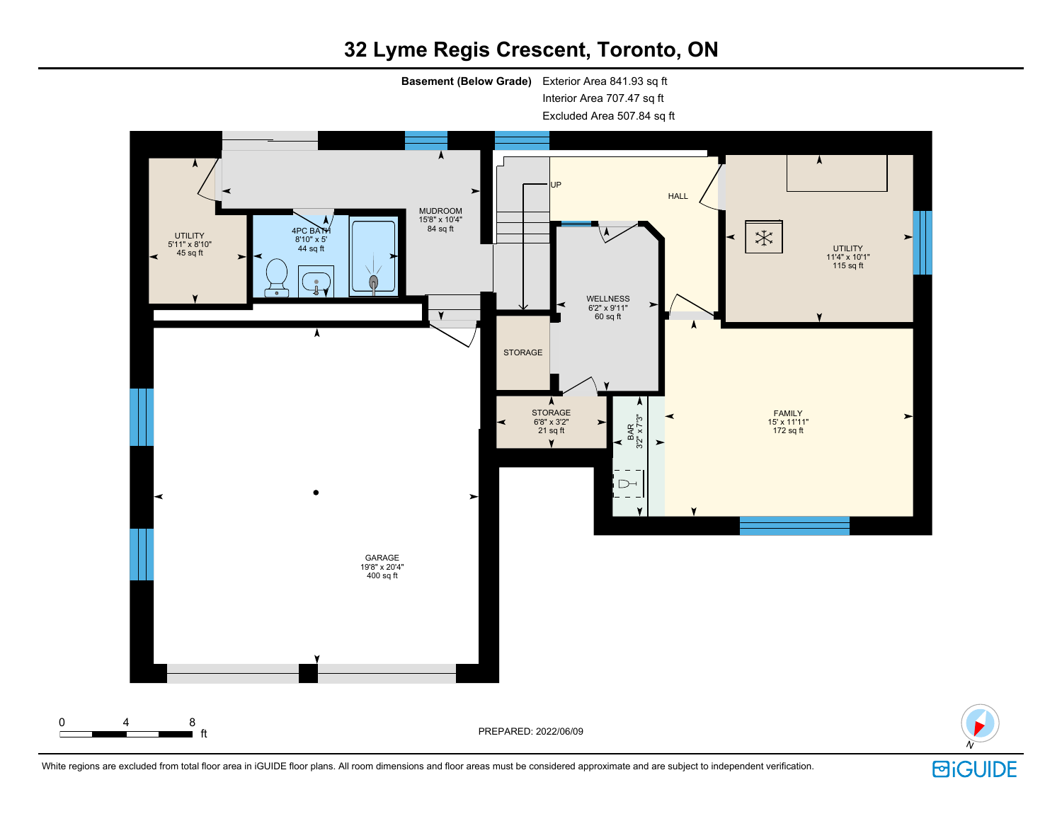# **32 Lyme Regis Crescent, Toronto, ON**

**Basement (Below Grade)** Exterior Area 841.93 sq ft

Interior Area 707.47 sq ft

Excluded Area 507.84 sq ft



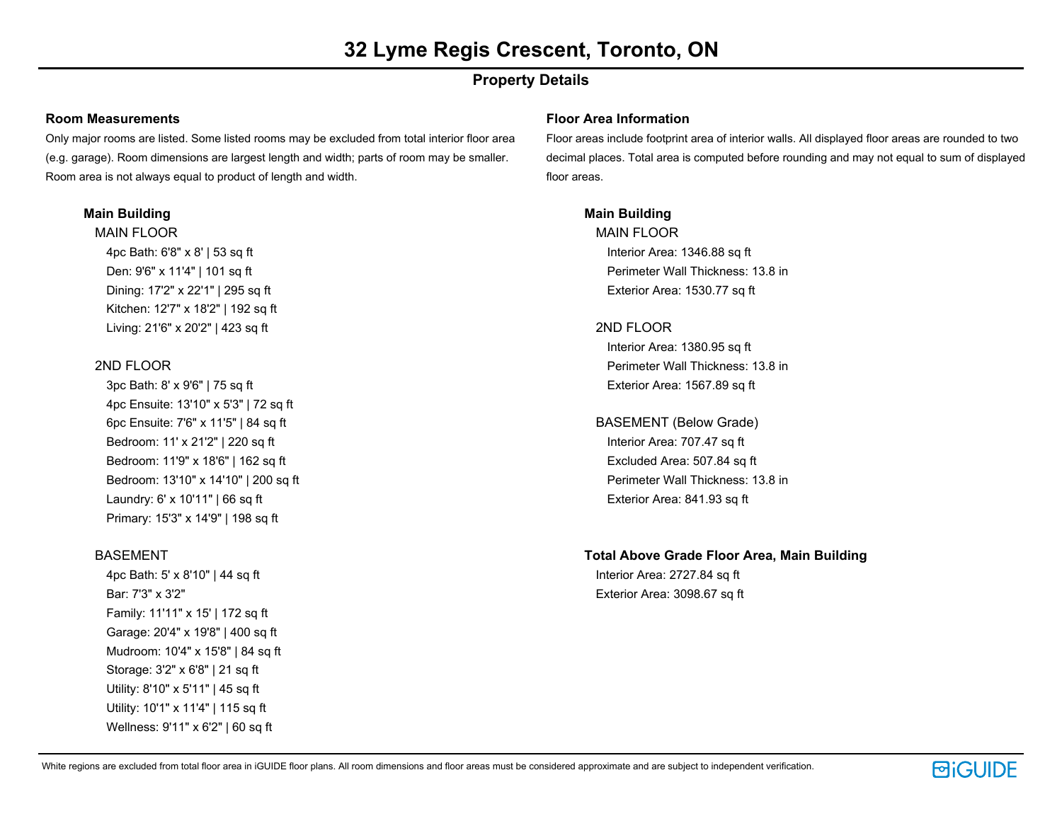# **Property Details**

#### **Room Measurements**

Only major rooms are listed. Some listed rooms may be excluded from total interior floor area (e.g. garage). Room dimensions are largest length and width; parts of room may be smaller. Room area is not always equal to product of length and width.

#### **Main Building**

MAIN FLOOR 4pc Bath: 6'8" x 8' | 53 sq ft Den: 9'6" x 11'4" | 101 sq ft Dining: 17'2" x 22'1" | 295 sq ft Kitchen: 12'7" x 18'2" | 192 sq ft Living: 21'6" x 20'2" | 423 sq ft

## 2ND FLOOR

3pc Bath: 8' x 9'6" | 75 sq ft 4pc Ensuite: 13'10" x 5'3" | 72 sq ft 6pc Ensuite: 7'6" x 11'5" | 84 sq ft Bedroom: 11' x 21'2" | 220 sq ft Bedroom: 11'9" x 18'6" | 162 sq ft Bedroom: 13'10" x 14'10" | 200 sq ft Laundry: 6' x 10'11" | 66 sq ft Primary: 15'3" x 14'9" | 198 sq ft

## **BASEMENT**

4pc Bath: 5' x 8'10" | 44 sq ft Bar: 7'3" x 3'2" Family: 11'11" x 15' | 172 sq ft Garage: 20'4" x 19'8" | 400 sq ft Mudroom: 10'4" x 15'8" | 84 sq ft Storage: 3'2" x 6'8" | 21 sq ft Utility: 8'10" x 5'11" | 45 sq ft Utility: 10'1" x 11'4" | 115 sq ft Wellness: 9'11" x 6'2" | 60 sq ft

#### **Floor Area Information**

Floor areas include footprint area of interior walls. All displayed floor areas are rounded to two decimal places. Total area is computed before rounding and may not equal to sum of displayed floor areas.

## **Main Building**

MAIN FLOOR Interior Area: 1346.88 sq ft Perimeter Wall Thickness: 13.8 in Exterior Area: 1530.77 sq ft

## 2ND FLOOR

Interior Area: 1380.95 sq ft Perimeter Wall Thickness: 13.8 in Exterior Area: 1567.89 sq ft

# BASEMENT (Below Grade)

Interior Area: 707.47 sq ft Excluded Area: 507.84 sq ft Perimeter Wall Thickness: 13.8 in Exterior Area: 841.93 sq ft

## **Total Above Grade Floor Area, Main Building** Interior Area: 2727.84 sq ft

Exterior Area: 3098.67 sq ft